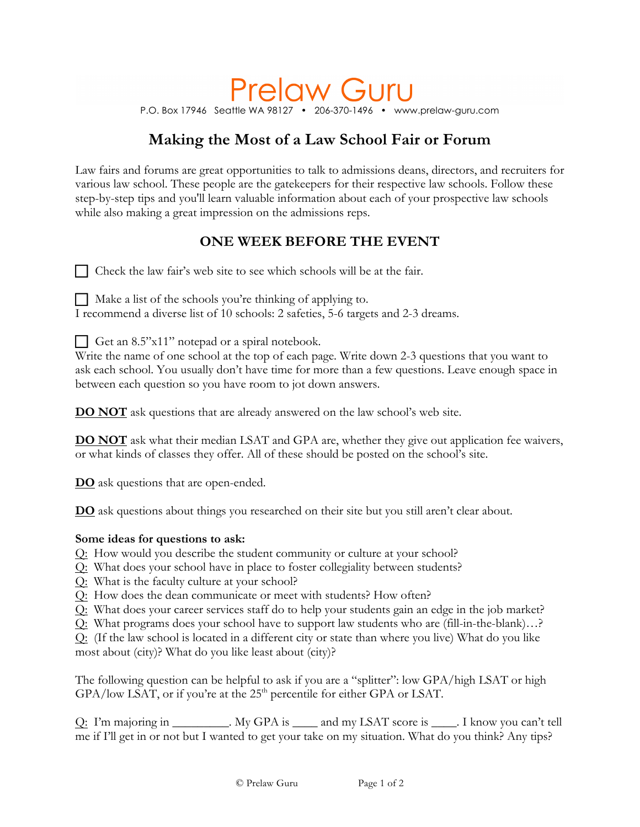# **Prelaw Guru**

P.O. Box 17946 Seattle WA 98127 • 206-370-1496 • www.prelaw-guru.com

## **Making the Most of a Law School Fair or Forum**

Law fairs and forums are great opportunities to talk to admissions deans, directors, and recruiters for various law school. These people are the gatekeepers for their respective law schools. Follow these step-by-step tips and you'll learn valuable information about each of your prospective law schools while also making a great impression on the admissions reps.

### **ONE WEEK BEFORE THE EVENT**

□ Check the law fair's web site to see which schools will be at the fair.

 $\Box$  Make a list of the schools you're thinking of applying to.

I recommend a diverse list of 10 schools: 2 safeties, 5-6 targets and 2-3 dreams.

!Get an 8.5"x11" notepad or a spiral notebook.

Write the name of one school at the top of each page. Write down 2-3 questions that you want to ask each school. You usually don't have time for more than a few questions. Leave enough space in between each question so you have room to jot down answers.

**DO NOT** ask questions that are already answered on the law school's web site.

**DO NOT** ask what their median LSAT and GPA are, whether they give out application fee waivers, or what kinds of classes they offer. All of these should be posted on the school's site.

**DO** ask questions that are open-ended.

**DO** ask questions about things you researched on their site but you still aren't clear about.

#### **Some ideas for questions to ask:**

- Q: How would you describe the student community or culture at your school?
- Q: What does your school have in place to foster collegiality between students?
- Q: What is the faculty culture at your school?
- Q: How does the dean communicate or meet with students? How often?
- Q: What does your career services staff do to help your students gain an edge in the job market?
- Q: What programs does your school have to support law students who are (fill-in-the-blank)…?

Q: (If the law school is located in a different city or state than where you live) What do you like most about (city)? What do you like least about (city)?

The following question can be helpful to ask if you are a "splitter": low GPA/high LSAT or high  $GPA/low$  LSAT, or if you're at the 25<sup>th</sup> percentile for either GPA or LSAT.

Q: I'm majoring in \_\_\_\_\_\_\_\_\_. My GPA is \_\_\_\_ and my LSAT score is \_\_\_\_. I know you can't tell me if I'll get in or not but I wanted to get your take on my situation. What do you think? Any tips?